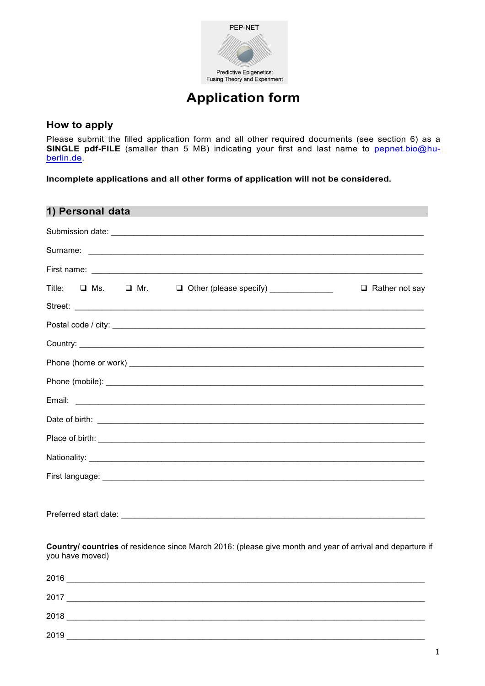

# **Application form**

## How to apply

Please submit the filled application form and all other required documents (see section 6) as a SINGLE pdf-FILE (smaller than 5 MB) indicating your first and last name to pepnet.bio@huberlin.de.

Incomplete applications and all other forms of application will not be considered.

| 1) Personal data                                                                                                             |
|------------------------------------------------------------------------------------------------------------------------------|
|                                                                                                                              |
|                                                                                                                              |
|                                                                                                                              |
| Title:<br>□ Ms. □ Mr. □ Other (please specify) _____________<br>$\Box$ Rather not say                                        |
|                                                                                                                              |
|                                                                                                                              |
|                                                                                                                              |
|                                                                                                                              |
|                                                                                                                              |
|                                                                                                                              |
|                                                                                                                              |
|                                                                                                                              |
|                                                                                                                              |
|                                                                                                                              |
|                                                                                                                              |
|                                                                                                                              |
| Country/ countries of residence since March 2016: (please give month and year of arrival and departure if<br>you have moved) |
| 2016                                                                                                                         |

| 2017 |  |  |
|------|--|--|
| 2018 |  |  |
| 2019 |  |  |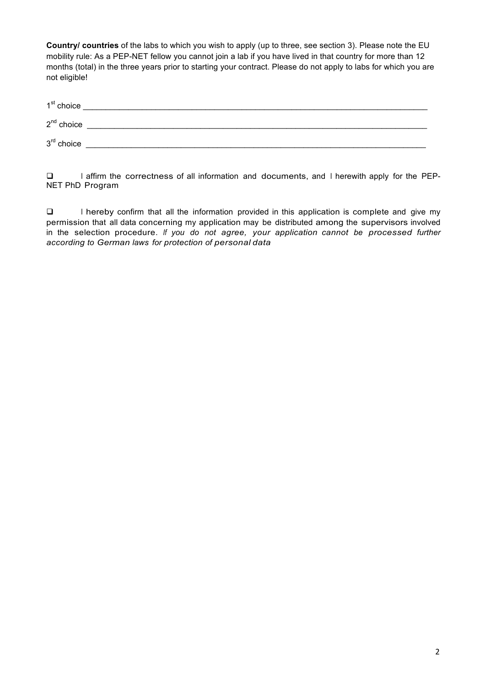**Country/ countries** of the labs to which you wish to apply (up to three, see section 3). Please note the EU mobility rule: As a PEP-NET fellow you cannot join a lab if you have lived in that country for more than 12 months (total) in the three years prior to starting your contract. Please do not apply to labs for which you are not eligible!

| $1st$ choice |  |
|--------------|--|
| $2nd$ choice |  |
| $3rd$ choice |  |

□ I affirm the correctness of all information and documents, and I herewith apply for the PEP-NET PhD Program

 $\Box$  I hereby confirm that all the information provided in this application is complete and give my permission that all data concerning my application may be distributed among the supervisors involved in the selection procedure. *If you do not agree, your application cannot be processed further according to German laws for protection of personal data*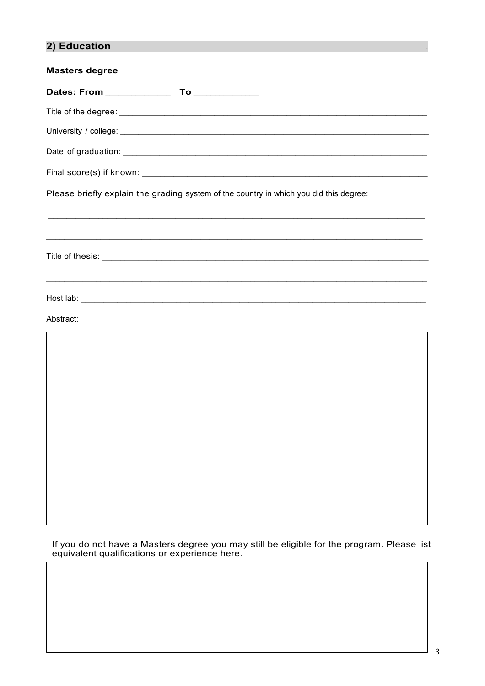## **2) Education .**

| Please briefly explain the grading system of the country in which you did this degree: |
|----------------------------------------------------------------------------------------|
|                                                                                        |
|                                                                                        |
| Abstract:                                                                              |
|                                                                                        |

If you do not have a Masters degree you may still be eligible for the program. Please list equivalent qualifications or experience here.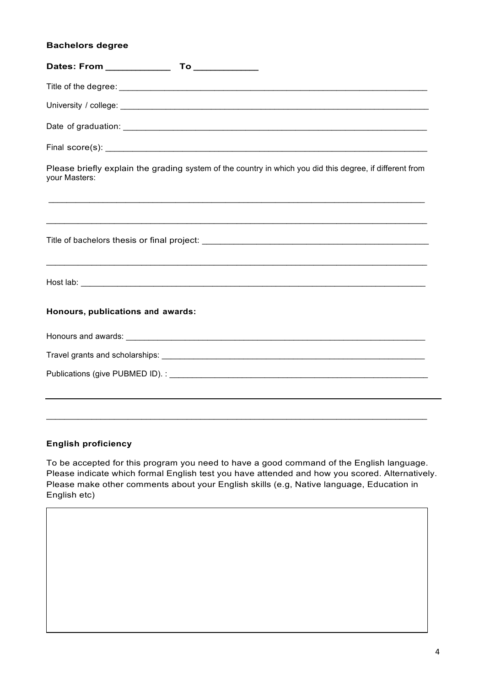#### **Bachelors degree**

| Please briefly explain the grading system of the country in which you did this degree, if different from<br>your Masters: |
|---------------------------------------------------------------------------------------------------------------------------|
| <u> 1989 - Johann Stoff, amerikansk politiker (d. 1989)</u>                                                               |
|                                                                                                                           |
| ,我们也不能在这里的时候,我们也不能在这里的时候,我们也不能不能不能不能不能不能不能不能不能不能不能不能不能不能不能。""我们的是我们的,我们也不能不能不能不能                                          |
| Honours, publications and awards:                                                                                         |
|                                                                                                                           |
|                                                                                                                           |
|                                                                                                                           |
|                                                                                                                           |
|                                                                                                                           |

#### **English proficiency**

To be accepted for this program you need to have a good command of the English language. Please indicate which formal English test you have attended and how you scored. Alternatively. Please make other comments about your English skills (e.g, Native language, Education in English etc)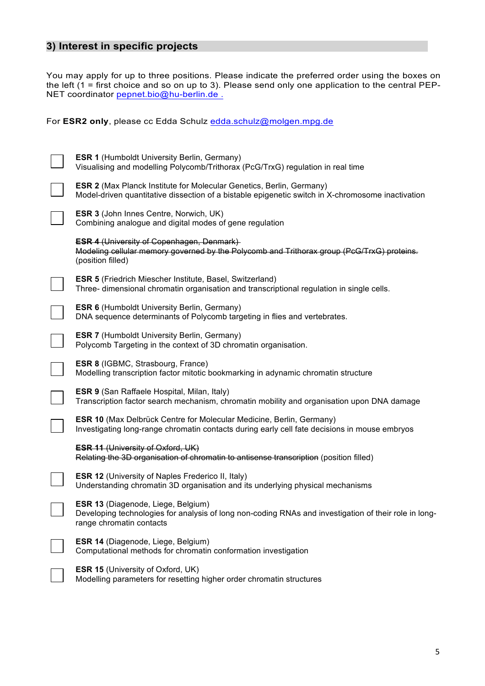## **3) Interest in specific projects**

You may apply for up to three positions. Please indicate the preferred order using the boxes on the left (1 = first choice and so on up to 3). Please send only one application to the central PEP-NET coordinator pepnet.bio@hu-berlin.de .

For **ESR2 only**, please cc Edda Schulz edda.schulz@molgen.mpg.de

| <b>ESR 1 (Humboldt University Berlin, Germany)</b><br>Visualising and modelling Polycomb/Trithorax (PcG/TrxG) regulation in real time                                            |
|----------------------------------------------------------------------------------------------------------------------------------------------------------------------------------|
| <b>ESR 2</b> (Max Planck Institute for Molecular Genetics, Berlin, Germany)<br>Model-driven quantitative dissection of a bistable epigenetic switch in X-chromosome inactivation |
| ESR 3 (John Innes Centre, Norwich, UK)<br>Combining analogue and digital modes of gene regulation                                                                                |
| <b>ESR 4 (University of Copenhagen, Denmark)</b><br>Modeling cellular memory governed by the Polycomb and Trithorax group (PcG/TrxG) proteins.<br>(position filled)              |
| <b>ESR 5</b> (Friedrich Miescher Institute, Basel, Switzerland)<br>Three- dimensional chromatin organisation and transcriptional regulation in single cells.                     |
| <b>ESR 6 (Humboldt University Berlin, Germany)</b><br>DNA sequence determinants of Polycomb targeting in flies and vertebrates.                                                  |
| <b>ESR 7 (Humboldt University Berlin, Germany)</b><br>Polycomb Targeting in the context of 3D chromatin organisation.                                                            |
| <b>ESR 8 (IGBMC, Strasbourg, France)</b><br>Modelling transcription factor mitotic bookmarking in adynamic chromatin structure                                                   |
| <b>ESR 9 (San Raffaele Hospital, Milan, Italy)</b><br>Transcription factor search mechanism, chromatin mobility and organisation upon DNA damage                                 |
| <b>ESR 10 (Max Delbrück Centre for Molecular Medicine, Berlin, Germany)</b><br>Investigating long-range chromatin contacts during early cell fate decisions in mouse embryos     |
| <b>ESR 11 (University of Oxford, UK)</b><br>Relating the 3D organisation of chromatin to antisense transcription (position filled)                                               |
| <b>ESR 12 (University of Naples Frederico II, Italy)</b><br>Understanding chromatin 3D organisation and its underlying physical mechanisms                                       |
| ESR 13 (Diagenode, Liege, Belgium)<br>Developing technologies for analysis of long non-coding RNAs and investigation of their role in long-<br>range chromatin contacts          |
| ESR 14 (Diagenode, Liege, Belgium)<br>Computational methods for chromatin conformation investigation                                                                             |
| <b>ESR 15 (University of Oxford, UK)</b><br>Modelling parameters for resetting higher order chromatin structures                                                                 |
|                                                                                                                                                                                  |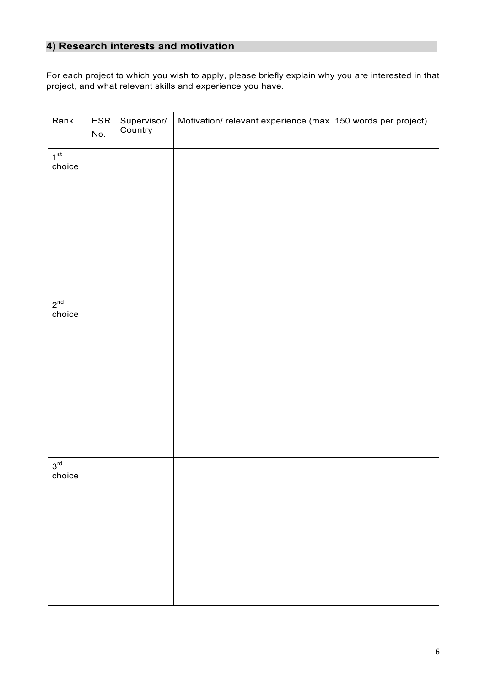## **4) Research interests and motivation**

For each project to which you wish to apply, please briefly explain why you are interested in that project, and what relevant skills and experience you have.

| Rank                      | ESR<br>No. | Supervisor/<br>Country | Motivation/relevant experience (max. 150 words per project) |
|---------------------------|------------|------------------------|-------------------------------------------------------------|
| 1 <sup>st</sup><br>choice |            |                        |                                                             |
| $2^{nd}$<br>choice        |            |                        |                                                             |
| $3^{\text{rd}}$<br>choice |            |                        |                                                             |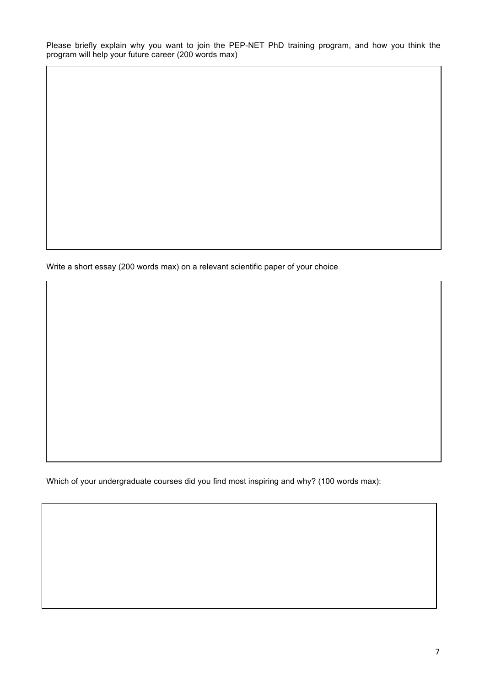Please briefly explain why you want to join the PEP-NET PhD training program, and how you think the program will help your future career (200 words max)

Write a short essay (200 words max) on a relevant scientific paper of your choice

Which of your undergraduate courses did you find most inspiring and why? (100 words max):